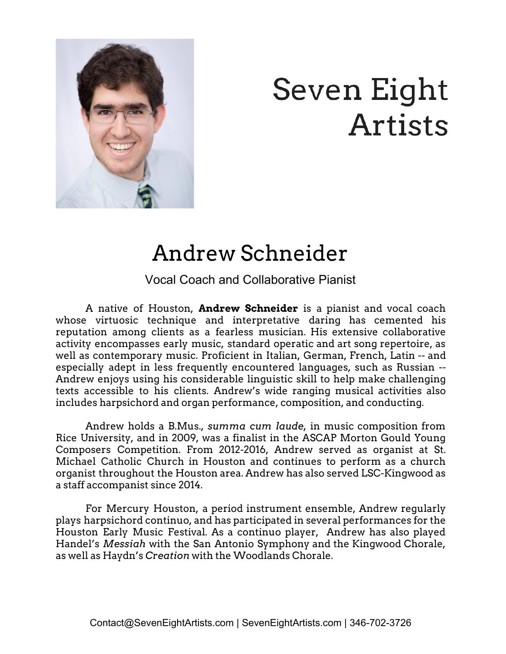

## Seven Eight Artists

## Andrew Schneider

Vocal Coach and Collaborative Pianist

A native of Houston, **Andrew Schneider** is a pianist and vocal coach whose virtuosic technique and interpretative daring has cemented his reputation among clients as a fearless musician. His extensive collaborative activity encompasses early music, standard operatic and art song repertoire, as well as contemporary music. Proficient in Italian, German, French, Latin -- and especially adept in less frequently encountered languages, such as Russian -- Andrew enjoys using his considerable linguistic skill to help make challenging texts accessible to his clients. Andrew's wide ranging musical activities also includes harpsichord and organ performance, composition, and conducting.

Andrew holds a B.Mus., *summa cum laude,* in music composition from Rice University, and in 2009, was a finalist in the ASCAP Morton Gould Young Composers Competition. From 2012-2016, Andrew served as organist at St. Michael Catholic Church in Houston and continues to perform as a church organist throughout the Houston area. Andrew has also served LSC-Kingwood as a staff accompanist since 2014.

For Mercury Houston, a period instrument ensemble, Andrew regularly plays harpsichord continuo, and has participated in several performances for the Houston Early Music Festival. As a continuo player, Andrew has also played Handel's *Messiah* with the San Antonio Symphony and the Kingwood Chorale, as well as Haydn's *Creation* with the Woodlands Chorale.